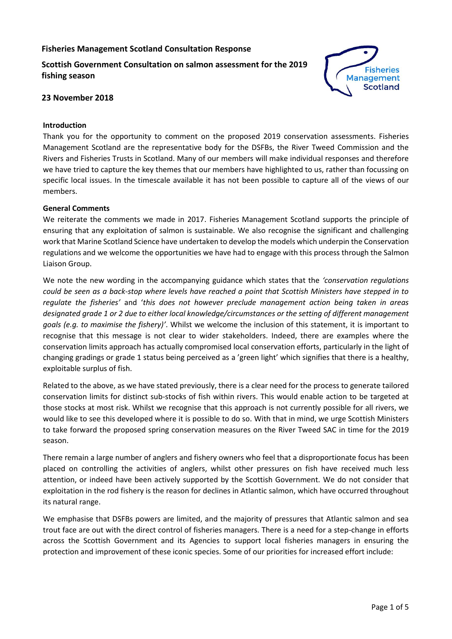# **Fisheries Management Scotland Consultation Response**

**Scottish Government Consultation on salmon assessment for the 2019 fishing season**



## **23 November 2018**

### **Introduction**

Thank you for the opportunity to comment on the proposed 2019 conservation assessments. Fisheries Management Scotland are the representative body for the DSFBs, the River Tweed Commission and the Rivers and Fisheries Trusts in Scotland. Many of our members will make individual responses and therefore we have tried to capture the key themes that our members have highlighted to us, rather than focussing on specific local issues. In the timescale available it has not been possible to capture all of the views of our members.

#### **General Comments**

We reiterate the comments we made in 2017. Fisheries Management Scotland supports the principle of ensuring that any exploitation of salmon is sustainable. We also recognise the significant and challenging work that Marine Scotland Science have undertaken to develop the models which underpin the Conservation regulations and we welcome the opportunities we have had to engage with this process through the Salmon Liaison Group.

We note the new wording in the accompanying guidance which states that the *'conservation regulations could be seen as a back-stop where levels have reached a point that Scottish Ministers have stepped in to regulate the fisheries'* and '*this does not however preclude management action being taken in areas designated grade 1 or 2 due to either local knowledge/circumstances or the setting of different management goals (e.g. to maximise the fishery)'*. Whilst we welcome the inclusion of this statement, it is important to recognise that this message is not clear to wider stakeholders. Indeed, there are examples where the conservation limits approach has actually compromised local conservation efforts, particularly in the light of changing gradings or grade 1 status being perceived as a 'green light' which signifies that there is a healthy, exploitable surplus of fish.

Related to the above, as we have stated previously, there is a clear need for the process to generate tailored conservation limits for distinct sub-stocks of fish within rivers. This would enable action to be targeted at those stocks at most risk. Whilst we recognise that this approach is not currently possible for all rivers, we would like to see this developed where it is possible to do so. With that in mind, we urge Scottish Ministers to take forward the proposed spring conservation measures on the River Tweed SAC in time for the 2019 season.

There remain a large number of anglers and fishery owners who feel that a disproportionate focus has been placed on controlling the activities of anglers, whilst other pressures on fish have received much less attention, or indeed have been actively supported by the Scottish Government. We do not consider that exploitation in the rod fishery is the reason for declines in Atlantic salmon, which have occurred throughout its natural range.

We emphasise that DSFBs powers are limited, and the majority of pressures that Atlantic salmon and sea trout face are out with the direct control of fisheries managers. There is a need for a step-change in efforts across the Scottish Government and its Agencies to support local fisheries managers in ensuring the protection and improvement of these iconic species. Some of our priorities for increased effort include: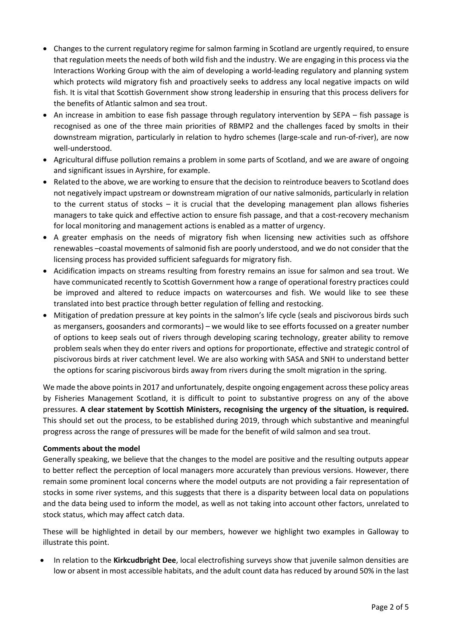- Changes to the current regulatory regime for salmon farming in Scotland are urgently required, to ensure that regulation meets the needs of both wild fish and the industry. We are engaging in this process via the Interactions Working Group with the aim of developing a world-leading regulatory and planning system which protects wild migratory fish and proactively seeks to address any local negative impacts on wild fish. It is vital that Scottish Government show strong leadership in ensuring that this process delivers for the benefits of Atlantic salmon and sea trout.
- An increase in ambition to ease fish passage through regulatory intervention by SEPA fish passage is recognised as one of the three main priorities of RBMP2 and the challenges faced by smolts in their downstream migration, particularly in relation to hydro schemes (large-scale and run-of-river), are now well-understood.
- Agricultural diffuse pollution remains a problem in some parts of Scotland, and we are aware of ongoing and significant issues in Ayrshire, for example.
- Related to the above, we are working to ensure that the decision to reintroduce beavers to Scotland does not negatively impact upstream or downstream migration of our native salmonids, particularly in relation to the current status of stocks – it is crucial that the developing management plan allows fisheries managers to take quick and effective action to ensure fish passage, and that a cost-recovery mechanism for local monitoring and management actions is enabled as a matter of urgency.
- A greater emphasis on the needs of migratory fish when licensing new activities such as offshore renewables –coastal movements of salmonid fish are poorly understood, and we do not consider that the licensing process has provided sufficient safeguards for migratory fish.
- Acidification impacts on streams resulting from forestry remains an issue for salmon and sea trout. We have communicated recently to Scottish Government how a range of operational forestry practices could be improved and altered to reduce impacts on watercourses and fish. We would like to see these translated into best practice through better regulation of felling and restocking.
- Mitigation of predation pressure at key points in the salmon's life cycle (seals and piscivorous birds such as mergansers, goosanders and cormorants) – we would like to see efforts focussed on a greater number of options to keep seals out of rivers through developing scaring technology, greater ability to remove problem seals when they do enter rivers and options for proportionate, effective and strategic control of piscivorous birds at river catchment level. We are also working with SASA and SNH to understand better the options for scaring piscivorous birds away from rivers during the smolt migration in the spring.

We made the above points in 2017 and unfortunately, despite ongoing engagement across these policy areas by Fisheries Management Scotland, it is difficult to point to substantive progress on any of the above pressures. **A clear statement by Scottish Ministers, recognising the urgency of the situation, is required.** This should set out the process, to be established during 2019, through which substantive and meaningful progress across the range of pressures will be made for the benefit of wild salmon and sea trout.

# **Comments about the model**

Generally speaking, we believe that the changes to the model are positive and the resulting outputs appear to better reflect the perception of local managers more accurately than previous versions. However, there remain some prominent local concerns where the model outputs are not providing a fair representation of stocks in some river systems, and this suggests that there is a disparity between local data on populations and the data being used to inform the model, as well as not taking into account other factors, unrelated to stock status, which may affect catch data.

These will be highlighted in detail by our members, however we highlight two examples in Galloway to illustrate this point.

• In relation to the **Kirkcudbright Dee**, local electrofishing surveys show that juvenile salmon densities are low or absent in most accessible habitats, and the adult count data has reduced by around 50% in the last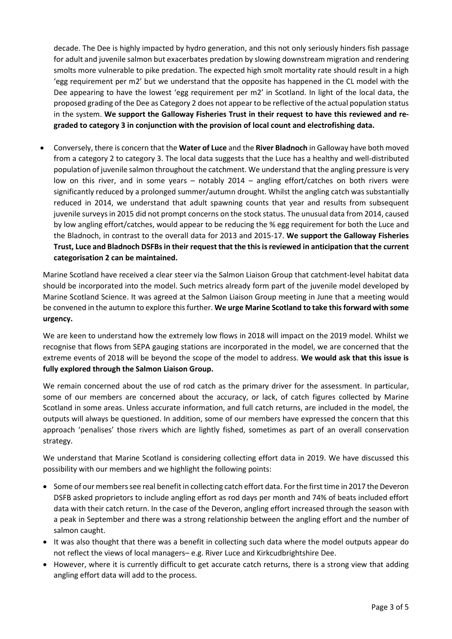decade. The Dee is highly impacted by hydro generation, and this not only seriously hinders fish passage for adult and juvenile salmon but exacerbates predation by slowing downstream migration and rendering smolts more vulnerable to pike predation. The expected high smolt mortality rate should result in a high 'egg requirement per m2' but we understand that the opposite has happened in the CL model with the Dee appearing to have the lowest 'egg requirement per m2' in Scotland. In light of the local data, the proposed grading of the Dee as Category 2 does not appear to be reflective of the actual population status in the system. **We support the Galloway Fisheries Trust in their request to have this reviewed and regraded to category 3 in conjunction with the provision of local count and electrofishing data.**

• Conversely, there is concern that the **Water of Luce** and the **River Bladnoch** in Galloway have both moved from a category 2 to category 3. The local data suggests that the Luce has a healthy and well-distributed population of juvenile salmon throughout the catchment. We understand that the angling pressure is very low on this river, and in some years – notably 2014 – angling effort/catches on both rivers were significantly reduced by a prolonged summer/autumn drought. Whilst the angling catch was substantially reduced in 2014, we understand that adult spawning counts that year and results from subsequent juvenile surveys in 2015 did not prompt concerns on the stock status. The unusual data from 2014, caused by low angling effort/catches, would appear to be reducing the % egg requirement for both the Luce and the Bladnoch, in contrast to the overall data for 2013 and 2015-17. **We support the Galloway Fisheries Trust, Luce and Bladnoch DSFBs in their request that the this is reviewed in anticipation that the current categorisation 2 can be maintained.**

Marine Scotland have received a clear steer via the Salmon Liaison Group that catchment-level habitat data should be incorporated into the model. Such metrics already form part of the juvenile model developed by Marine Scotland Science. It was agreed at the Salmon Liaison Group meeting in June that a meeting would be convened in the autumn to explore this further. **We urge Marine Scotland to take this forward with some urgency.**

We are keen to understand how the extremely low flows in 2018 will impact on the 2019 model. Whilst we recognise that flows from SEPA gauging stations are incorporated in the model, we are concerned that the extreme events of 2018 will be beyond the scope of the model to address. **We would ask that this issue is fully explored through the Salmon Liaison Group.**

We remain concerned about the use of rod catch as the primary driver for the assessment. In particular, some of our members are concerned about the accuracy, or lack, of catch figures collected by Marine Scotland in some areas. Unless accurate information, and full catch returns, are included in the model, the outputs will always be questioned. In addition, some of our members have expressed the concern that this approach 'penalises' those rivers which are lightly fished, sometimes as part of an overall conservation strategy.

We understand that Marine Scotland is considering collecting effort data in 2019. We have discussed this possibility with our members and we highlight the following points:

- Some of our members see real benefit in collecting catch effort data. For the first time in 2017 the Deveron DSFB asked proprietors to include angling effort as rod days per month and 74% of beats included effort data with their catch return. In the case of the Deveron, angling effort increased through the season with a peak in September and there was a strong relationship between the angling effort and the number of salmon caught.
- It was also thought that there was a benefit in collecting such data where the model outputs appear do not reflect the views of local managers– e.g. River Luce and Kirkcudbrightshire Dee.
- However, where it is currently difficult to get accurate catch returns, there is a strong view that adding angling effort data will add to the process.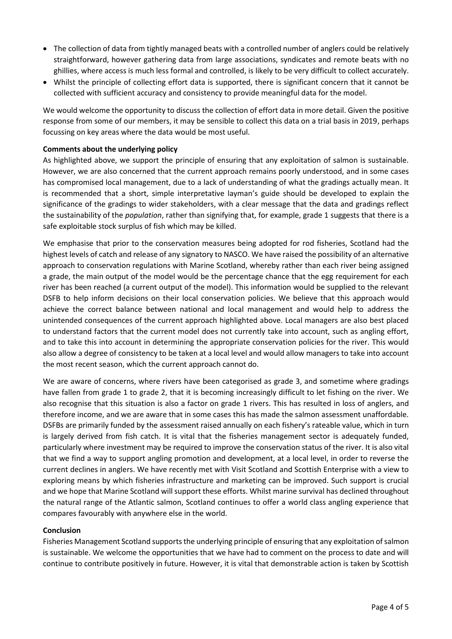- The collection of data from tightly managed beats with a controlled number of anglers could be relatively straightforward, however gathering data from large associations, syndicates and remote beats with no ghillies, where access is much less formal and controlled, is likely to be very difficult to collect accurately.
- Whilst the principle of collecting effort data is supported, there is significant concern that it cannot be collected with sufficient accuracy and consistency to provide meaningful data for the model.

We would welcome the opportunity to discuss the collection of effort data in more detail. Given the positive response from some of our members, it may be sensible to collect this data on a trial basis in 2019, perhaps focussing on key areas where the data would be most useful.

## **Comments about the underlying policy**

As highlighted above, we support the principle of ensuring that any exploitation of salmon is sustainable. However, we are also concerned that the current approach remains poorly understood, and in some cases has compromised local management, due to a lack of understanding of what the gradings actually mean. It is recommended that a short, simple interpretative layman's guide should be developed to explain the significance of the gradings to wider stakeholders, with a clear message that the data and gradings reflect the sustainability of the *population*, rather than signifying that, for example, grade 1 suggests that there is a safe exploitable stock surplus of fish which may be killed.

We emphasise that prior to the conservation measures being adopted for rod fisheries, Scotland had the highest levels of catch and release of any signatory to NASCO. We have raised the possibility of an alternative approach to conservation regulations with Marine Scotland, whereby rather than each river being assigned a grade, the main output of the model would be the percentage chance that the egg requirement for each river has been reached (a current output of the model). This information would be supplied to the relevant DSFB to help inform decisions on their local conservation policies. We believe that this approach would achieve the correct balance between national and local management and would help to address the unintended consequences of the current approach highlighted above. Local managers are also best placed to understand factors that the current model does not currently take into account, such as angling effort, and to take this into account in determining the appropriate conservation policies for the river. This would also allow a degree of consistency to be taken at a local level and would allow managers to take into account the most recent season, which the current approach cannot do.

We are aware of concerns, where rivers have been categorised as grade 3, and sometime where gradings have fallen from grade 1 to grade 2, that it is becoming increasingly difficult to let fishing on the river. We also recognise that this situation is also a factor on grade 1 rivers. This has resulted in loss of anglers, and therefore income, and we are aware that in some cases this has made the salmon assessment unaffordable. DSFBs are primarily funded by the assessment raised annually on each fishery's rateable value, which in turn is largely derived from fish catch. It is vital that the fisheries management sector is adequately funded, particularly where investment may be required to improve the conservation status of the river. It is also vital that we find a way to support angling promotion and development, at a local level, in order to reverse the current declines in anglers. We have recently met with Visit Scotland and Scottish Enterprise with a view to exploring means by which fisheries infrastructure and marketing can be improved. Such support is crucial and we hope that Marine Scotland will support these efforts. Whilst marine survival has declined throughout the natural range of the Atlantic salmon, Scotland continues to offer a world class angling experience that compares favourably with anywhere else in the world.

#### **Conclusion**

Fisheries Management Scotland supports the underlying principle of ensuring that any exploitation of salmon is sustainable. We welcome the opportunities that we have had to comment on the process to date and will continue to contribute positively in future. However, it is vital that demonstrable action is taken by Scottish